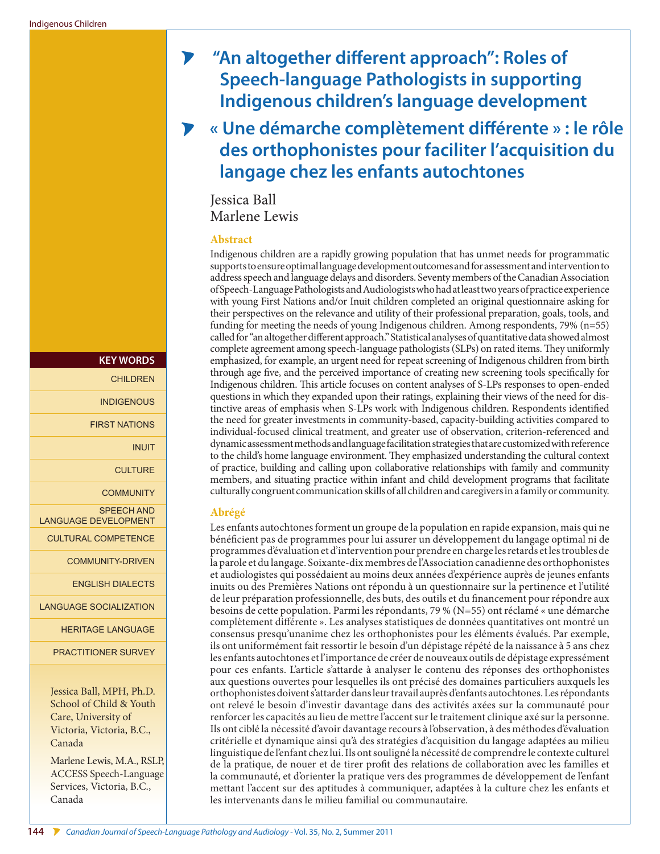# $\blacktriangleright$  **"An altogether different approach": Roles of Speech-language Pathologists in supporting Indigenous children's language development**

**« Une démarche complètement différente » : le rôle des orthophonistes pour faciliter l'acquisition du langage chez les enfants autochtones**

Jessica Ball Marlene Lewis

#### **Abstract**

Indigenous children are a rapidly growing population that has unmet needs for programmatic supports to ensure optimal language development outcomes and for assessment and intervention to address speech and language delays and disorders. Seventy members of the Canadian Association of Speech-Language Pathologists and Audiologists who had at least two years of practice experience with young First Nations and/or Inuit children completed an original questionnaire asking for their perspectives on the relevance and utility of their professional preparation, goals, tools, and funding for meeting the needs of young Indigenous children. Among respondents, 79% (n=55) called for "an altogether different approach." Statistical analyses of quantitative data showed almost complete agreement among speech-language pathologists (SLPs) on rated items. They uniformly emphasized, for example, an urgent need for repeat screening of Indigenous children from birth through age five, and the perceived importance of creating new screening tools specifically for Indigenous children. This article focuses on content analyses of S-LPs responses to open-ended questions in which they expanded upon their ratings, explaining their views of the need for distinctive areas of emphasis when S-LPs work with Indigenous children. Respondents identified the need for greater investments in community-based, capacity-building activities compared to individual-focused clinical treatment, and greater use of observation, criterion-referenced and dynamic assessment methods and language facilitation strategies that are customized with reference to the child's home language environment. They emphasized understanding the cultural context of practice, building and calling upon collaborative relationships with family and community members, and situating practice within infant and child development programs that facilitate culturally congruent communication skills of all children and caregivers in a family or community.

#### **Abrégé**

Les enfants autochtones forment un groupe de la population en rapide expansion, mais qui ne bénéficient pas de programmes pour lui assurer un développement du langage optimal ni de programmes d'évaluation et d'intervention pour prendre en charge les retards et les troubles de la parole et du langage. Soixante-dix membres de l'Association canadienne des orthophonistes et audiologistes qui possédaient au moins deux années d'expérience auprès de jeunes enfants inuits ou des Premières Nations ont répondu à un questionnaire sur la pertinence et l'utilité de leur préparation professionnelle, des buts, des outils et du financement pour répondre aux besoins de cette population. Parmi les répondants, 79 % (N=55) ont réclamé « une démarche complètement différente ». Les analyses statistiques de données quantitatives ont montré un consensus presqu'unanime chez les orthophonistes pour les éléments évalués. Par exemple, ils ont uniformément fait ressortir le besoin d'un dépistage répété de la naissance à 5 ans chez les enfants autochtones et l'importance de créer de nouveaux outils de dépistage expressément pour ces enfants. L'article s'attarde à analyser le contenu des réponses des orthophonistes aux questions ouvertes pour lesquelles ils ont précisé des domaines particuliers auxquels les orthophonistes doivent s'attarder dans leur travail auprès d'enfants autochtones. Les répondants ont relevé le besoin d'investir davantage dans des activités axées sur la communauté pour renforcer les capacités au lieu de mettre l'accent sur le traitement clinique axé sur la personne. Ils ont ciblé la nécessité d'avoir davantage recours à l'observation, à des méthodes d'évaluation critérielle et dynamique ainsi qu'à des stratégies d'acquisition du langage adaptées au milieu linguistique de l'enfant chez lui. Ils ont souligné la nécessité de comprendre le contexte culturel de la pratique, de nouer et de tirer profit des relations de collaboration avec les familles et la communauté, et d'orienter la pratique vers des programmes de développement de l'enfant mettant l'accent sur des aptitudes à communiquer, adaptées à la culture chez les enfants et les intervenants dans le milieu familial ou communautaire.

Jessica Ball, MPH, Ph.D. School of Child & Youth Care, University of Victoria, Victoria, B.C., Canada **KEY WORDS CHILDREN INDIGENOUS** FIRST NATIONS INUIT **CULTURE COMMUNITY** SPEECH AND LANGUAGE DEVELOPMENT CULTURAL COMPETENCE COMMUNITY-DRIVEN ENGLISH DIALECTS LANGUAGE SOCIALIZATION HERITAGE LANGUAGE PRACTITIONER SURVEY

Marlene Lewis, M.A., RSLP, ACCESS Speech-Language Services, Victoria, B.C., Canada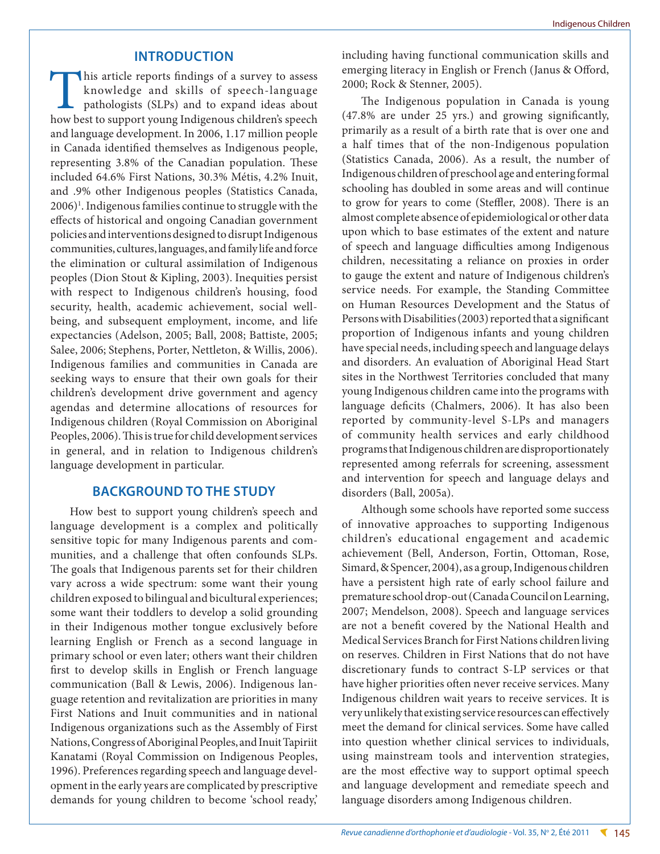## **INTRODUCTION**

This article reports findings of a survey to assess knowledge and skills of speech-language pathologists (SLPs) and to expand ideas about how best to support young Indigenous children's speech and language development. In 2006, 1.17 million people in Canada identified themselves as Indigenous people, representing 3.8% of the Canadian population. These included 64.6% First Nations, 30.3% Métis, 4.2% Inuit, and .9% other Indigenous peoples (Statistics Canada, 2006)<sup>1</sup>. Indigenous families continue to struggle with the effects of historical and ongoing Canadian government policies and interventions designed to disrupt Indigenous communities, cultures, languages, and family life and force the elimination or cultural assimilation of Indigenous peoples (Dion Stout & Kipling, 2003). Inequities persist with respect to Indigenous children's housing, food security, health, academic achievement, social wellbeing, and subsequent employment, income, and life expectancies (Adelson, 2005; Ball, 2008; Battiste, 2005; Salee, 2006; Stephens, Porter, Nettleton, & Willis, 2006). Indigenous families and communities in Canada are seeking ways to ensure that their own goals for their children's development drive government and agency agendas and determine allocations of resources for Indigenous children (Royal Commission on Aboriginal Peoples, 2006). This is true for child development services in general, and in relation to Indigenous children's language development in particular.

# **BACKGROUND TO THE STUDY**

How best to support young children's speech and language development is a complex and politically sensitive topic for many Indigenous parents and communities, and a challenge that often confounds SLPs. The goals that Indigenous parents set for their children vary across a wide spectrum: some want their young children exposed to bilingual and bicultural experiences; some want their toddlers to develop a solid grounding in their Indigenous mother tongue exclusively before learning English or French as a second language in primary school or even later; others want their children first to develop skills in English or French language communication (Ball & Lewis, 2006). Indigenous language retention and revitalization are priorities in many First Nations and Inuit communities and in national Indigenous organizations such as the Assembly of First Nations, Congress of Aboriginal Peoples, and Inuit Tapiriit Kanatami (Royal Commission on Indigenous Peoples, 1996). Preferences regarding speech and language development in the early years are complicated by prescriptive demands for young children to become 'school ready,' including having functional communication skills and emerging literacy in English or French (Janus & Offord, 2000; Rock & Stenner, 2005).

The Indigenous population in Canada is young (47.8% are under 25 yrs.) and growing significantly, primarily as a result of a birth rate that is over one and a half times that of the non-Indigenous population (Statistics Canada, 2006). As a result, the number of Indigenous children of preschool age and entering formal schooling has doubled in some areas and will continue to grow for years to come (Steffler, 2008). There is an almost complete absence of epidemiological or other data upon which to base estimates of the extent and nature of speech and language difficulties among Indigenous children, necessitating a reliance on proxies in order to gauge the extent and nature of Indigenous children's service needs. For example, the Standing Committee on Human Resources Development and the Status of Persons with Disabilities (2003) reported that a significant proportion of Indigenous infants and young children have special needs, including speech and language delays and disorders. An evaluation of Aboriginal Head Start sites in the Northwest Territories concluded that many young Indigenous children came into the programs with language deficits (Chalmers, 2006). It has also been reported by community-level S-LPs and managers of community health services and early childhood programs that Indigenous children are disproportionately represented among referrals for screening, assessment and intervention for speech and language delays and disorders (Ball, 2005a).

Although some schools have reported some success of innovative approaches to supporting Indigenous children's educational engagement and academic achievement (Bell, Anderson, Fortin, Ottoman, Rose, Simard, & Spencer, 2004), as a group, Indigenous children have a persistent high rate of early school failure and premature school drop-out (Canada Council on Learning, 2007; Mendelson, 2008). Speech and language services are not a benefit covered by the National Health and Medical Services Branch for First Nations children living on reserves. Children in First Nations that do not have discretionary funds to contract S-LP services or that have higher priorities often never receive services. Many Indigenous children wait years to receive services. It is very unlikely that existing service resources can effectively meet the demand for clinical services. Some have called into question whether clinical services to individuals, using mainstream tools and intervention strategies, are the most effective way to support optimal speech and language development and remediate speech and language disorders among Indigenous children.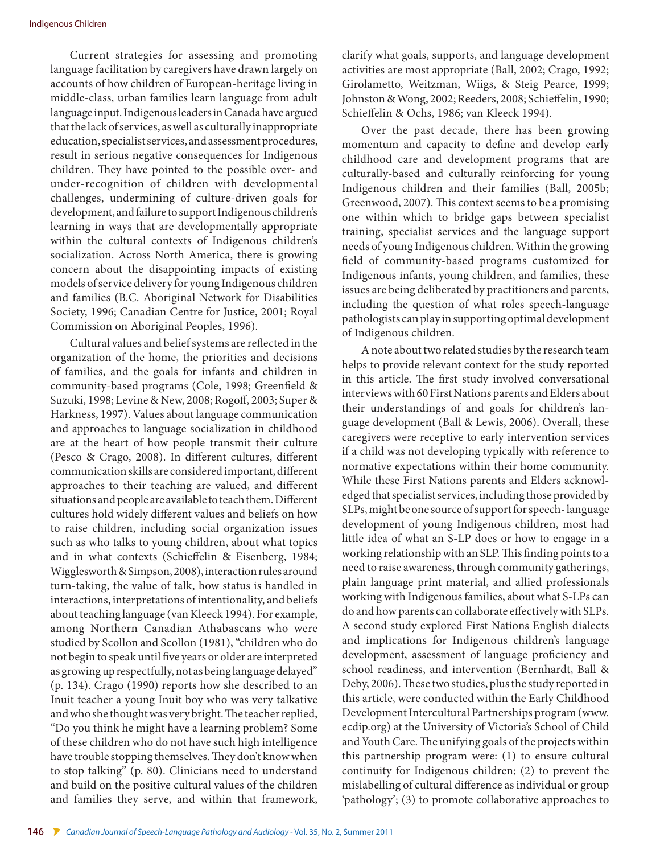Current strategies for assessing and promoting language facilitation by caregivers have drawn largely on accounts of how children of European-heritage living in middle-class, urban families learn language from adult language input. Indigenous leaders in Canada have argued that the lack of services, as well as culturally inappropriate education, specialist services, and assessment procedures, result in serious negative consequences for Indigenous children. They have pointed to the possible over- and under-recognition of children with developmental challenges, undermining of culture-driven goals for development, and failure to support Indigenous children's learning in ways that are developmentally appropriate within the cultural contexts of Indigenous children's socialization. Across North America, there is growing concern about the disappointing impacts of existing models of service delivery for young Indigenous children and families (B.C. Aboriginal Network for Disabilities Society, 1996; Canadian Centre for Justice, 2001; Royal Commission on Aboriginal Peoples, 1996).

Cultural values and belief systems are reflected in the organization of the home, the priorities and decisions of families, and the goals for infants and children in community-based programs (Cole, 1998; Greenfield & Suzuki, 1998; Levine & New, 2008; Rogoff, 2003; Super & Harkness, 1997). Values about language communication and approaches to language socialization in childhood are at the heart of how people transmit their culture (Pesco & Crago, 2008). In different cultures, different communication skills are considered important, different approaches to their teaching are valued, and different situations and people are available to teach them. Different cultures hold widely different values and beliefs on how to raise children, including social organization issues such as who talks to young children, about what topics and in what contexts (Schieffelin & Eisenberg, 1984; Wigglesworth & Simpson, 2008), interaction rules around turn-taking, the value of talk, how status is handled in interactions, interpretations of intentionality, and beliefs about teaching language (van Kleeck 1994). For example, among Northern Canadian Athabascans who were studied by Scollon and Scollon (1981), "children who do not begin to speak until five years or older are interpreted as growing up respectfully, not as being language delayed" (p. 134). Crago (1990) reports how she described to an Inuit teacher a young Inuit boy who was very talkative and who she thought was very bright. The teacher replied, "Do you think he might have a learning problem? Some of these children who do not have such high intelligence have trouble stopping themselves. They don't know when to stop talking" (p. 80). Clinicians need to understand and build on the positive cultural values of the children and families they serve, and within that framework,

Over the past decade, there has been growing momentum and capacity to define and develop early childhood care and development programs that are culturally-based and culturally reinforcing for young Indigenous children and their families (Ball, 2005b; Greenwood, 2007). This context seems to be a promising one within which to bridge gaps between specialist training, specialist services and the language support needs of young Indigenous children. Within the growing field of community-based programs customized for Indigenous infants, young children, and families, these issues are being deliberated by practitioners and parents, including the question of what roles speech-language pathologists can play in supporting optimal development of Indigenous children.

A note about two related studies by the research team helps to provide relevant context for the study reported in this article. The first study involved conversational interviews with 60 First Nations parents and Elders about their understandings of and goals for children's language development (Ball & Lewis, 2006). Overall, these caregivers were receptive to early intervention services if a child was not developing typically with reference to normative expectations within their home community. While these First Nations parents and Elders acknowledged that specialist services, including those provided by SLPs, might be one source of support for speech- language development of young Indigenous children, most had little idea of what an S-LP does or how to engage in a working relationship with an SLP. This finding points to a need to raise awareness, through community gatherings, plain language print material, and allied professionals working with Indigenous families, about what S-LPs can do and how parents can collaborate effectively with SLPs. A second study explored First Nations English dialects and implications for Indigenous children's language development, assessment of language proficiency and school readiness, and intervention (Bernhardt, Ball & Deby, 2006). These two studies, plus the study reported in this article, were conducted within the Early Childhood Development Intercultural Partnerships program [\(www.](www.ecdip.org) [ecdip.org\)](www.ecdip.org) at the University of Victoria's School of Child and Youth Care. The unifying goals of the projects within this partnership program were: (1) to ensure cultural continuity for Indigenous children; (2) to prevent the mislabelling of cultural difference as individual or group 'pathology'; (3) to promote collaborative approaches to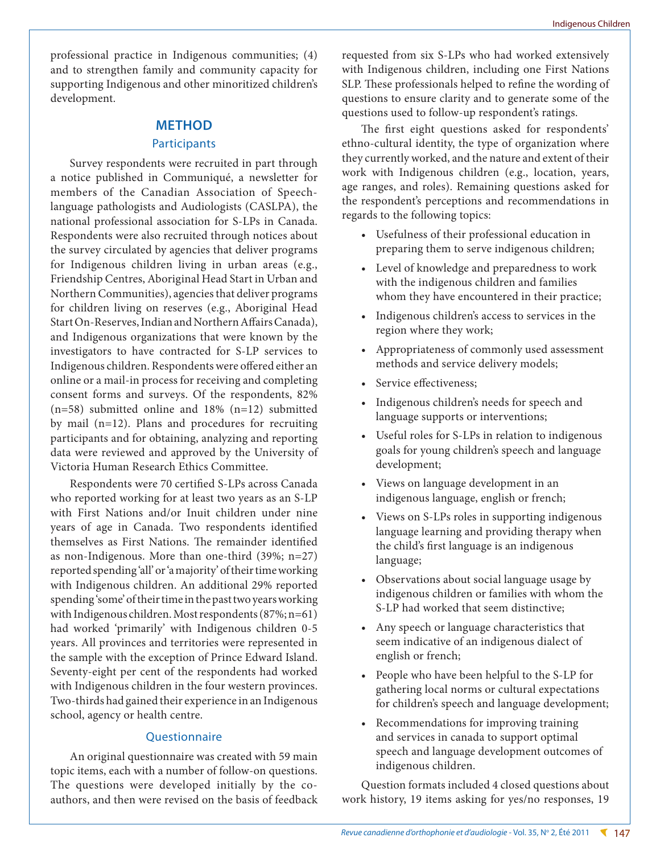professional practice in Indigenous communities; (4) and to strengthen family and community capacity for supporting Indigenous and other minoritized children's development.

### **METHOD**

#### **Participants**

Survey respondents were recruited in part through a notice published in Communiqué, a newsletter for members of the Canadian Association of Speechlanguage pathologists and Audiologists (CASLPA), the national professional association for S-LPs in Canada. Respondents were also recruited through notices about the survey circulated by agencies that deliver programs for Indigenous children living in urban areas (e.g., Friendship Centres, Aboriginal Head Start in Urban and Northern Communities), agencies that deliver programs for children living on reserves (e.g., Aboriginal Head Start On-Reserves, Indian and Northern Affairs Canada), and Indigenous organizations that were known by the investigators to have contracted for S-LP services to Indigenous children. Respondents were offered either an online or a mail-in process for receiving and completing consent forms and surveys. Of the respondents, 82% (n=58) submitted online and 18% (n=12) submitted by mail (n=12). Plans and procedures for recruiting participants and for obtaining, analyzing and reporting data were reviewed and approved by the University of Victoria Human Research Ethics Committee.

Respondents were 70 certified S-LPs across Canada who reported working for at least two years as an S-LP with First Nations and/or Inuit children under nine years of age in Canada. Two respondents identified themselves as First Nations. The remainder identified as non-Indigenous. More than one-third (39%; n=27) reported spending 'all' or 'a majority' of their time working with Indigenous children. An additional 29% reported spending 'some' of their time in the past two years working with Indigenous children. Most respondents (87%; n=61) had worked 'primarily' with Indigenous children 0-5 years. All provinces and territories were represented in the sample with the exception of Prince Edward Island. Seventy-eight per cent of the respondents had worked with Indigenous children in the four western provinces. Two-thirds had gained their experience in an Indigenous school, agency or health centre.

#### **Ouestionnaire**

An original questionnaire was created with 59 main topic items, each with a number of follow-on questions. The questions were developed initially by the coauthors, and then were revised on the basis of feedback requested from six S-LPs who had worked extensively with Indigenous children, including one First Nations SLP. These professionals helped to refine the wording of questions to ensure clarity and to generate some of the questions used to follow-up respondent's ratings.

The first eight questions asked for respondents' ethno-cultural identity, the type of organization where they currently worked, and the nature and extent of their work with Indigenous children (e.g., location, years, age ranges, and roles). Remaining questions asked for the respondent's perceptions and recommendations in regards to the following topics:

- • Usefulness of their professional education in preparing them to serve indigenous children;
- • Level of knowledge and preparedness to work with the indigenous children and families whom they have encountered in their practice;
- Indigenous children's access to services in the region where they work;
- • Appropriateness of commonly used assessment methods and service delivery models;
- Service effectiveness;
- • Indigenous children's needs for speech and language supports or interventions;
- Useful roles for S-LPs in relation to indigenous goals for young children's speech and language development;
- Views on language development in an indigenous language, english or french;
- • Views on S-LPs roles in supporting indigenous language learning and providing therapy when the child's first language is an indigenous language;
- Observations about social language usage by indigenous children or families with whom the S-LP had worked that seem distinctive;
- • Any speech or language characteristics that seem indicative of an indigenous dialect of english or french;
- • People who have been helpful to the S-LP for gathering local norms or cultural expectations for children's speech and language development;
- • Recommendations for improving training and services in canada to support optimal speech and language development outcomes of indigenous children.

Question formats included 4 closed questions about work history, 19 items asking for yes/no responses, 19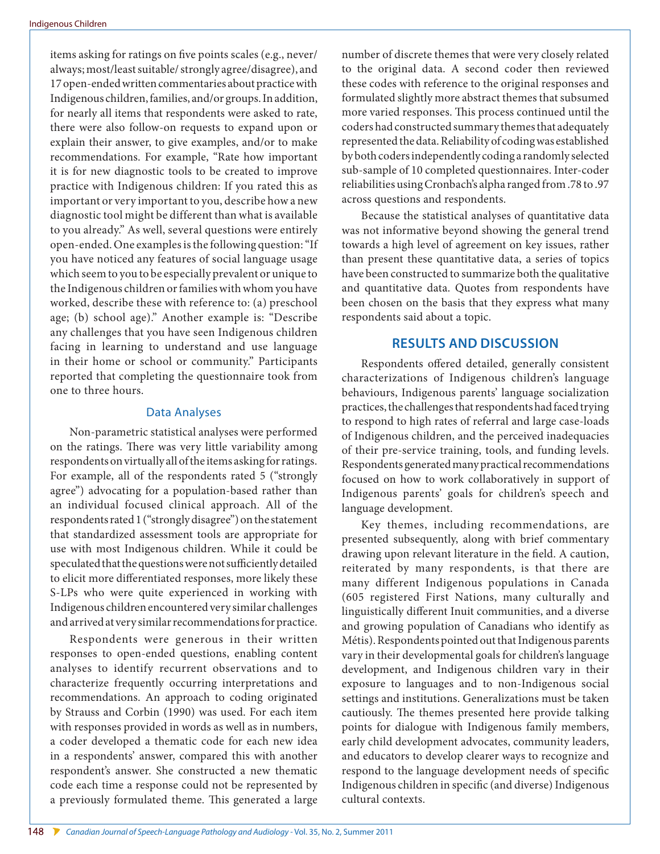items asking for ratings on five points scales (e.g., never/ always; most/least suitable/ strongly agree/disagree), and 17 open-ended written commentaries about practice with Indigenous children, families, and/or groups. In addition, for nearly all items that respondents were asked to rate, there were also follow-on requests to expand upon or explain their answer, to give examples, and/or to make recommendations. For example, "Rate how important it is for new diagnostic tools to be created to improve practice with Indigenous children: If you rated this as important or very important to you, describe how a new diagnostic tool might be different than what is available to you already." As well, several questions were entirely open-ended. One examples is the following question: "If you have noticed any features of social language usage which seem to you to be especially prevalent or unique to the Indigenous children or families with whom you have worked, describe these with reference to: (a) preschool age; (b) school age)." Another example is: "Describe any challenges that you have seen Indigenous children facing in learning to understand and use language in their home or school or community." Participants reported that completing the questionnaire took from one to three hours.

#### Data Analyses

Non-parametric statistical analyses were performed on the ratings. There was very little variability among respondents on virtually all of the items asking for ratings. For example, all of the respondents rated 5 ("strongly agree") advocating for a population-based rather than an individual focused clinical approach. All of the respondents rated 1 ("strongly disagree") on the statement that standardized assessment tools are appropriate for use with most Indigenous children. While it could be speculated that the questions were not sufficiently detailed to elicit more differentiated responses, more likely these S-LPs who were quite experienced in working with Indigenous children encountered very similar challenges and arrived at very similar recommendations for practice.

Respondents were generous in their written responses to open-ended questions, enabling content analyses to identify recurrent observations and to characterize frequently occurring interpretations and recommendations. An approach to coding originated by Strauss and Corbin (1990) was used. For each item with responses provided in words as well as in numbers, a coder developed a thematic code for each new idea in a respondents' answer, compared this with another respondent's answer. She constructed a new thematic code each time a response could not be represented by a previously formulated theme. This generated a large number of discrete themes that were very closely related to the original data. A second coder then reviewed these codes with reference to the original responses and formulated slightly more abstract themes that subsumed more varied responses. This process continued until the coders had constructed summary themes that adequately represented the data. Reliability of coding was established by both coders independently coding a randomly selected sub-sample of 10 completed questionnaires. Inter-coder reliabilities using Cronbach's alpha ranged from .78 to .97 across questions and respondents.

Because the statistical analyses of quantitative data was not informative beyond showing the general trend towards a high level of agreement on key issues, rather than present these quantitative data, a series of topics have been constructed to summarize both the qualitative and quantitative data. Quotes from respondents have been chosen on the basis that they express what many respondents said about a topic.

### **RESULTS AND DISCUSSION**

Respondents offered detailed, generally consistent characterizations of Indigenous children's language behaviours, Indigenous parents' language socialization practices, the challenges that respondents had faced trying to respond to high rates of referral and large case-loads of Indigenous children, and the perceived inadequacies of their pre-service training, tools, and funding levels. Respondents generated many practical recommendations focused on how to work collaboratively in support of Indigenous parents' goals for children's speech and language development.

Key themes, including recommendations, are presented subsequently, along with brief commentary drawing upon relevant literature in the field. A caution, reiterated by many respondents, is that there are many different Indigenous populations in Canada (605 registered First Nations, many culturally and linguistically different Inuit communities, and a diverse and growing population of Canadians who identify as Métis). Respondents pointed out that Indigenous parents vary in their developmental goals for children's language development, and Indigenous children vary in their exposure to languages and to non-Indigenous social settings and institutions. Generalizations must be taken cautiously. The themes presented here provide talking points for dialogue with Indigenous family members, early child development advocates, community leaders, and educators to develop clearer ways to recognize and respond to the language development needs of specific Indigenous children in specific (and diverse) Indigenous cultural contexts.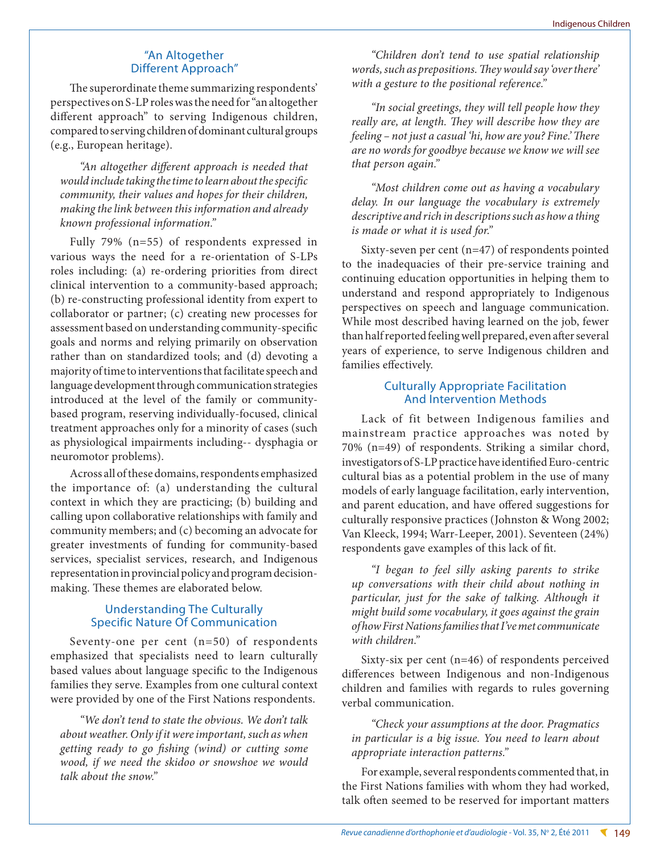## "An Altogether Different Approach"

The superordinate theme summarizing respondents' perspectives on S-LP roles was the need for "an altogether different approach" to serving Indigenous children, compared to serving children of dominant cultural groups (e.g., European heritage).

*"An altogether different approach is needed that would include taking the time to learn about the specific community, their values and hopes for their children, making the link between this information and already known professional information."*

Fully 79% (n=55) of respondents expressed in various ways the need for a re-orientation of S-LPs roles including: (a) re-ordering priorities from direct clinical intervention to a community-based approach; (b) re-constructing professional identity from expert to collaborator or partner; (c) creating new processes for assessment based on understanding community-specific goals and norms and relying primarily on observation rather than on standardized tools; and (d) devoting a majority of time to interventions that facilitate speech and language development through communication strategies introduced at the level of the family or communitybased program, reserving individually-focused, clinical treatment approaches only for a minority of cases (such as physiological impairments including-- dysphagia or neuromotor problems).

Across all of these domains, respondents emphasized the importance of: (a) understanding the cultural context in which they are practicing; (b) building and calling upon collaborative relationships with family and community members; and (c) becoming an advocate for greater investments of funding for community-based services, specialist services, research, and Indigenous representation in provincial policy and program decisionmaking. These themes are elaborated below.

## Understanding The Culturally Specific Nature Of Communication

Seventy-one per cent (n=50) of respondents emphasized that specialists need to learn culturally based values about language specific to the Indigenous families they serve. Examples from one cultural context were provided by one of the First Nations respondents.

*"We don't tend to state the obvious. We don't talk about weather. Only if it were important, such as when getting ready to go fishing (wind) or cutting some wood, if we need the skidoo or snowshoe we would talk about the snow."*

*"Children don't tend to use spatial relationship words, such as prepositions. They would say 'over there' with a gesture to the positional reference."*

*"In social greetings, they will tell people how they really are, at length. They will describe how they are feeling – not just a casual 'hi, how are you? Fine.' There are no words for goodbye because we know we will see that person again."*

*"Most children come out as having a vocabulary delay. In our language the vocabulary is extremely descriptive and rich in descriptions such as how a thing is made or what it is used for."*

Sixty-seven per cent (n=47) of respondents pointed to the inadequacies of their pre-service training and continuing education opportunities in helping them to understand and respond appropriately to Indigenous perspectives on speech and language communication. While most described having learned on the job, fewer than half reported feeling well prepared, even after several years of experience, to serve Indigenous children and families effectively.

## Culturally Appropriate Facilitation And Intervention Methods

Lack of fit between Indigenous families and mainstream practice approaches was noted by 70% (n=49) of respondents. Striking a similar chord, investigators of S-LP practice have identified Euro-centric cultural bias as a potential problem in the use of many models of early language facilitation, early intervention, and parent education, and have offered suggestions for culturally responsive practices (Johnston & Wong 2002; Van Kleeck, 1994; Warr-Leeper, 2001). Seventeen (24%) respondents gave examples of this lack of fit.

*"I began to feel silly asking parents to strike up conversations with their child about nothing in particular, just for the sake of talking. Although it might build some vocabulary, it goes against the grain of how First Nations families that I've met communicate with children."*

Sixty-six per cent (n=46) of respondents perceived differences between Indigenous and non-Indigenous children and families with regards to rules governing verbal communication.

## *"Check your assumptions at the door. Pragmatics in particular is a big issue. You need to learn about appropriate interaction patterns."*

For example, several respondents commented that, in the First Nations families with whom they had worked, talk often seemed to be reserved for important matters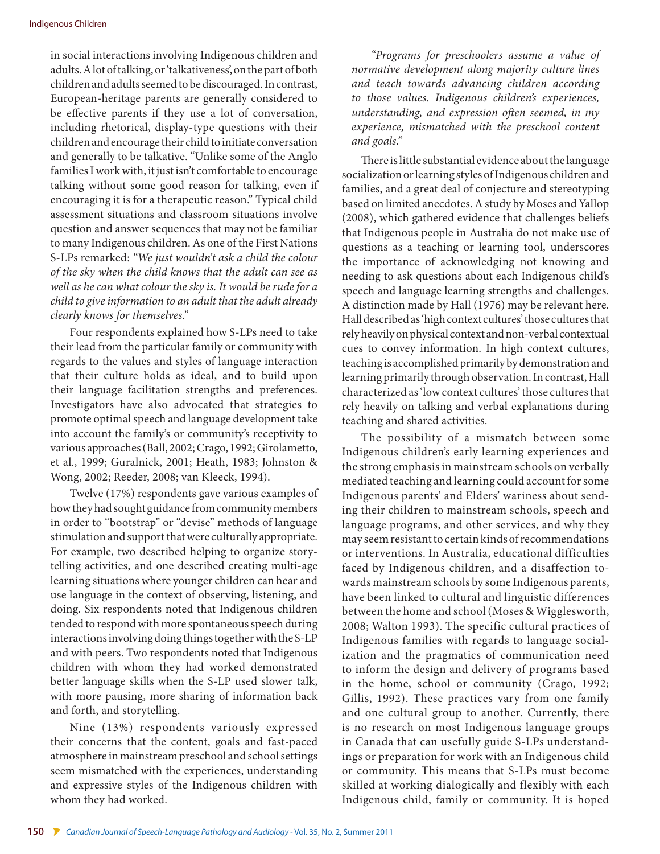in social interactions involving Indigenous children and adults. A lot of talking, or 'talkativeness', on the part of both children and adults seemed to be discouraged. In contrast, European-heritage parents are generally considered to be effective parents if they use a lot of conversation, including rhetorical, display-type questions with their children and encourage their child to initiate conversation and generally to be talkative. "Unlike some of the Anglo families I work with, it just isn't comfortable to encourage talking without some good reason for talking, even if encouraging it is for a therapeutic reason." Typical child assessment situations and classroom situations involve question and answer sequences that may not be familiar to many Indigenous children. As one of the First Nations S-LPs remarked: *"We just wouldn't ask a child the colour of the sky when the child knows that the adult can see as well as he can what colour the sky is. It would be rude for a child to give information to an adult that the adult already clearly knows for themselves."* 

Four respondents explained how S-LPs need to take their lead from the particular family or community with regards to the values and styles of language interaction that their culture holds as ideal, and to build upon their language facilitation strengths and preferences. Investigators have also advocated that strategies to promote optimal speech and language development take into account the family's or community's receptivity to various approaches (Ball, 2002; Crago, 1992; Girolametto, et al., 1999; Guralnick, 2001; Heath, 1983; Johnston & Wong, 2002; Reeder, 2008; van Kleeck, 1994).

Twelve (17%) respondents gave various examples of how they had sought guidance from community members in order to "bootstrap" or "devise" methods of language stimulation and support that were culturally appropriate. For example, two described helping to organize storytelling activities, and one described creating multi-age learning situations where younger children can hear and use language in the context of observing, listening, and doing. Six respondents noted that Indigenous children tended to respond with more spontaneous speech during interactions involving doing things together with the S-LP and with peers. Two respondents noted that Indigenous children with whom they had worked demonstrated better language skills when the S-LP used slower talk, with more pausing, more sharing of information back and forth, and storytelling.

Nine (13%) respondents variously expressed their concerns that the content, goals and fast-paced atmosphere in mainstream preschool and school settings seem mismatched with the experiences, understanding and expressive styles of the Indigenous children with whom they had worked.

*"Programs for preschoolers assume a value of normative development along majority culture lines and teach towards advancing children according to those values. Indigenous children's experiences, understanding, and expression often seemed, in my experience, mismatched with the preschool content and goals."*

There is little substantial evidence about the language socialization or learning styles of Indigenous children and families, and a great deal of conjecture and stereotyping based on limited anecdotes. A study by Moses and Yallop (2008), which gathered evidence that challenges beliefs that Indigenous people in Australia do not make use of questions as a teaching or learning tool, underscores the importance of acknowledging not knowing and needing to ask questions about each Indigenous child's speech and language learning strengths and challenges. A distinction made by Hall (1976) may be relevant here. Hall described as 'high context cultures' those cultures that rely heavily on physical context and non-verbal contextual cues to convey information. In high context cultures, teaching is accomplished primarily by demonstration and learning primarily through observation. In contrast, Hall characterized as 'low context cultures' those cultures that rely heavily on talking and verbal explanations during teaching and shared activities.

The possibility of a mismatch between some Indigenous children's early learning experiences and the strong emphasis in mainstream schools on verbally mediated teaching and learning could account for some Indigenous parents' and Elders' wariness about sending their children to mainstream schools, speech and language programs, and other services, and why they may seem resistant to certain kinds of recommendations or interventions. In Australia, educational difficulties faced by Indigenous children, and a disaffection towards mainstream schools by some Indigenous parents, have been linked to cultural and linguistic differences between the home and school (Moses & Wigglesworth, 2008; Walton 1993). The specific cultural practices of Indigenous families with regards to language socialization and the pragmatics of communication need to inform the design and delivery of programs based in the home, school or community (Crago, 1992; Gillis, 1992). These practices vary from one family and one cultural group to another. Currently, there is no research on most Indigenous language groups in Canada that can usefully guide S-LPs understandings or preparation for work with an Indigenous child or community. This means that S-LPs must become skilled at working dialogically and flexibly with each Indigenous child, family or community. It is hoped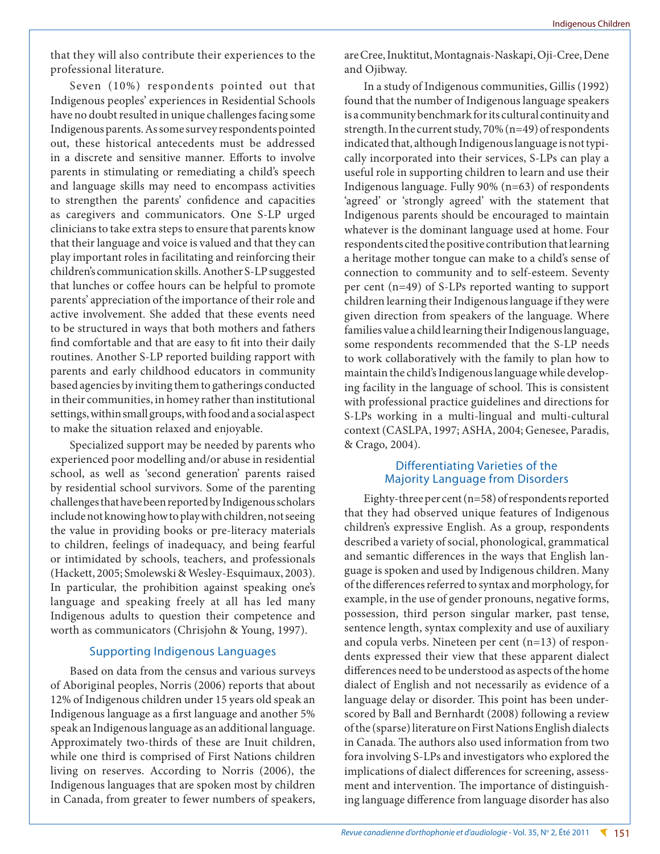that they will also contribute their experiences to the professional literature.

Seven (10%) respondents pointed out that Indigenous peoples' experiences in Residential Schools have no doubt resulted in unique challenges facing some Indigenous parents. As some survey respondents pointed out, these historical antecedents must be addressed in a discrete and sensitive manner. Efforts to involve parents in stimulating or remediating a child's speech and language skills may need to encompass activities to strengthen the parents' confidence and capacities as caregivers and communicators. One S-LP urged clinicians to take extra steps to ensure that parents know that their language and voice is valued and that they can play important roles in facilitating and reinforcing their children's communication skills. Another S-LP suggested that lunches or coffee hours can be helpful to promote parents' appreciation of the importance of their role and active involvement. She added that these events need to be structured in ways that both mothers and fathers find comfortable and that are easy to fit into their daily routines. Another S-LP reported building rapport with parents and early childhood educators in community based agencies by inviting them to gatherings conducted in their communities, in homey rather than institutional settings, within small groups, with food and a social aspect to make the situation relaxed and enjoyable.

Specialized support may be needed by parents who experienced poor modelling and/or abuse in residential school, as well as 'second generation' parents raised by residential school survivors. Some of the parenting challenges that have been reported by Indigenous scholars include not knowing how to play with children, not seeing the value in providing books or pre-literacy materials to children, feelings of inadequacy, and being fearful or intimidated by schools, teachers, and professionals (Hackett, 2005; Smolewski & Wesley-Esquimaux, 2003). In particular, the prohibition against speaking one's language and speaking freely at all has led many Indigenous adults to question their competence and worth as communicators (Chrisjohn & Young, 1997).

#### Supporting Indigenous Languages

Based on data from the census and various surveys of Aboriginal peoples, Norris (2006) reports that about 12% of Indigenous children under 15 years old speak an Indigenous language as a first language and another 5% speak an Indigenous language as an additional language. Approximately two-thirds of these are Inuit children, while one third is comprised of First Nations children living on reserves. According to Norris (2006), the Indigenous languages that are spoken most by children in Canada, from greater to fewer numbers of speakers, are Cree, Inuktitut, Montagnais-Naskapi, Oji-Cree, Dene and Ojibway.

In a study of Indigenous communities, Gillis (1992) found that the number of Indigenous language speakers is a community benchmark for its cultural continuity and strength. In the current study, 70% (n=49) of respondents indicated that, although Indigenous language is not typically incorporated into their services, S-LPs can play a useful role in supporting children to learn and use their Indigenous language. Fully 90% (n=63) of respondents 'agreed' or 'strongly agreed' with the statement that Indigenous parents should be encouraged to maintain whatever is the dominant language used at home. Four respondents cited the positive contribution that learning a heritage mother tongue can make to a child's sense of connection to community and to self-esteem. Seventy per cent (n=49) of S-LPs reported wanting to support children learning their Indigenous language if they were given direction from speakers of the language. Where families value a child learning their Indigenous language, some respondents recommended that the S-LP needs to work collaboratively with the family to plan how to maintain the child's Indigenous language while developing facility in the language of school. This is consistent with professional practice guidelines and directions for S-LPs working in a multi-lingual and multi-cultural context (CASLPA, 1997; ASHA, 2004; Genesee, Paradis, & Crago, 2004).

## Differentiating Varieties of the Majority Language from Disorders

Eighty-three per cent (n=58) of respondents reported that they had observed unique features of Indigenous children's expressive English. As a group, respondents described a variety of social, phonological, grammatical and semantic differences in the ways that English language is spoken and used by Indigenous children. Many of the differences referred to syntax and morphology, for example, in the use of gender pronouns, negative forms, possession, third person singular marker, past tense, sentence length, syntax complexity and use of auxiliary and copula verbs. Nineteen per cent (n=13) of respondents expressed their view that these apparent dialect differences need to be understood as aspects of the home dialect of English and not necessarily as evidence of a language delay or disorder. This point has been underscored by Ball and Bernhardt (2008) following a review of the (sparse) literature on First Nations English dialects in Canada. The authors also used information from two fora involving S-LPs and investigators who explored the implications of dialect differences for screening, assessment and intervention. The importance of distinguishing language difference from language disorder has also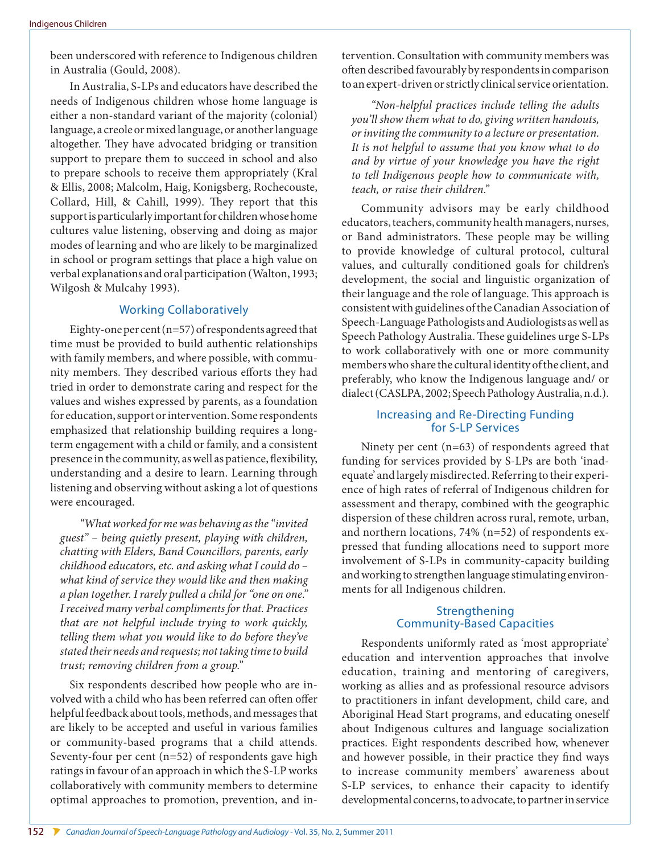been underscored with reference to Indigenous children in Australia (Gould, 2008).

In Australia, S-LPs and educators have described the needs of Indigenous children whose home language is either a non-standard variant of the majority (colonial) language, a creole or mixed language, or another language altogether. They have advocated bridging or transition support to prepare them to succeed in school and also to prepare schools to receive them appropriately (Kral & Ellis, 2008; Malcolm, Haig, Konigsberg, Rochecouste, Collard, Hill, & Cahill, 1999). They report that this support is particularly important for children whose home cultures value listening, observing and doing as major modes of learning and who are likely to be marginalized in school or program settings that place a high value on verbal explanations and oral participation (Walton, 1993; Wilgosh & Mulcahy 1993).

## Working Collaboratively

Eighty-one per cent  $(n=57)$  of respondents agreed that time must be provided to build authentic relationships with family members, and where possible, with community members. They described various efforts they had tried in order to demonstrate caring and respect for the values and wishes expressed by parents, as a foundation for education, support or intervention. Some respondents emphasized that relationship building requires a longterm engagement with a child or family, and a consistent presence in the community, as well as patience, flexibility, understanding and a desire to learn. Learning through listening and observing without asking a lot of questions were encouraged.

*"What worked for me was behaving as the "invited guest" – being quietly present, playing with children, chatting with Elders, Band Councillors, parents, early childhood educators, etc. and asking what I could do – what kind of service they would like and then making a plan together. I rarely pulled a child for "one on one." I received many verbal compliments for that. Practices that are not helpful include trying to work quickly, telling them what you would like to do before they've stated their needs and requests; not taking time to build trust; removing children from a group."* 

Six respondents described how people who are involved with a child who has been referred can often offer helpful feedback about tools, methods, and messages that are likely to be accepted and useful in various families or community-based programs that a child attends. Seventy-four per cent (n=52) of respondents gave high ratings in favour of an approach in which the S-LP works collaboratively with community members to determine optimal approaches to promotion, prevention, and intervention. Consultation with community members was often described favourably by respondents in comparison to an expert-driven or strictly clinical service orientation.

*"Non-helpful practices include telling the adults you'll show them what to do, giving written handouts, or inviting the community to a lecture or presentation. It is not helpful to assume that you know what to do and by virtue of your knowledge you have the right to tell Indigenous people how to communicate with, teach, or raise their children."* 

Community advisors may be early childhood educators, teachers, community health managers, nurses, or Band administrators. These people may be willing to provide knowledge of cultural protocol, cultural values, and culturally conditioned goals for children's development, the social and linguistic organization of their language and the role of language. This approach is consistent with guidelines of the Canadian Association of Speech-Language Pathologists and Audiologists as well as Speech Pathology Australia. These guidelines urge S-LPs to work collaboratively with one or more community members who share the cultural identity of the client, and preferably, who know the Indigenous language and/ or dialect (CASLPA, 2002; Speech Pathology Australia, n.d.).

## Increasing and Re-Directing Funding for S-LP Services

Ninety per cent (n=63) of respondents agreed that funding for services provided by S-LPs are both 'inadequate' and largely misdirected. Referring to their experience of high rates of referral of Indigenous children for assessment and therapy, combined with the geographic dispersion of these children across rural, remote, urban, and northern locations, 74% (n=52) of respondents expressed that funding allocations need to support more involvement of S-LPs in community-capacity building and working to strengthen language stimulating environments for all Indigenous children.

## Strengthening Community-Based Capacities

Respondents uniformly rated as 'most appropriate' education and intervention approaches that involve education, training and mentoring of caregivers, working as allies and as professional resource advisors to practitioners in infant development, child care, and Aboriginal Head Start programs, and educating oneself about Indigenous cultures and language socialization practices. Eight respondents described how, whenever and however possible, in their practice they find ways to increase community members' awareness about S-LP services, to enhance their capacity to identify developmental concerns, to advocate, to partner in service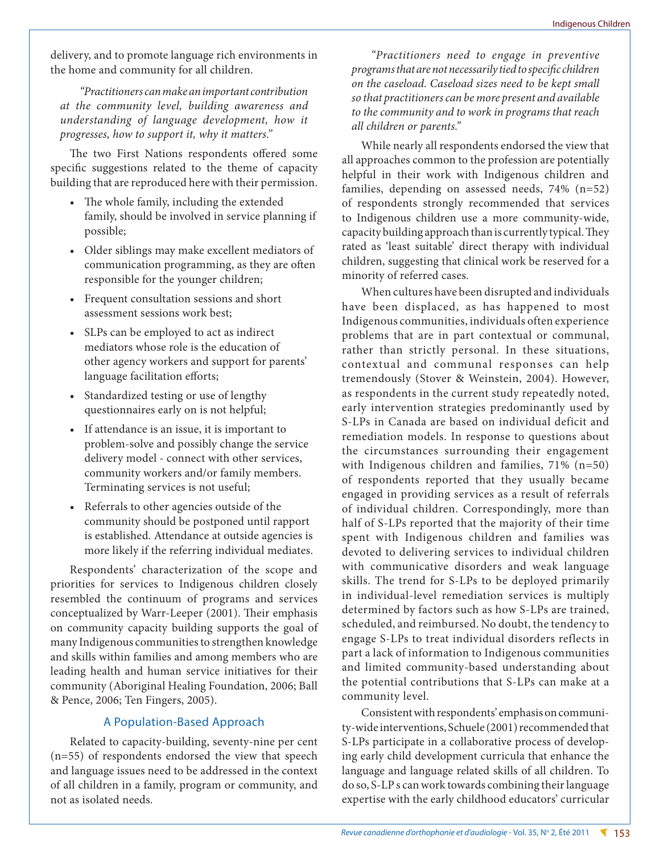delivery, and to promote language rich environments in the home and community for all children.

*"Practitioners can make an important contribution at the community level, building awareness and understanding of language development, how it progresses, how to support it, why it matters."* 

The two First Nations respondents offered some specific suggestions related to the theme of capacity building that are reproduced here with their permission.

- The whole family, including the extended family, should be involved in service planning if possible;
- • Older siblings may make excellent mediators of communication programming, as they are often responsible for the younger children;
- • Frequent consultation sessions and short assessment sessions work best;
- SLPs can be employed to act as indirect mediators whose role is the education of other agency workers and support for parents' language facilitation efforts;
- Standardized testing or use of lengthy questionnaires early on is not helpful;
- If attendance is an issue, it is important to problem-solve and possibly change the service delivery model - connect with other services, community workers and/or family members. Terminating services is not useful;
- Referrals to other agencies outside of the community should be postponed until rapport is established. Attendance at outside agencies is more likely if the referring individual mediates.

Respondents' characterization of the scope and priorities for services to Indigenous children closely resembled the continuum of programs and services conceptualized by Warr-Leeper (2001). Their emphasis on community capacity building supports the goal of many Indigenous communities to strengthen knowledge and skills within families and among members who are leading health and human service initiatives for their community (Aboriginal Healing Foundation, 2006; Ball & Pence, 2006; Ten Fingers, 2005).

## A Population-Based Approach

Related to capacity-building, seventy-nine per cent (n=55) of respondents endorsed the view that speech and language issues need to be addressed in the context of all children in a family, program or community, and not as isolated needs.

*"Practitioners need to engage in preventive programs that are not necessarily tied to specific children on the caseload. Caseload sizes need to be kept small so that practitioners can be more present and available to the community and to work in programs that reach all children or parents."* 

While nearly all respondents endorsed the view that all approaches common to the profession are potentially helpful in their work with Indigenous children and families, depending on assessed needs, 74% (n=52) of respondents strongly recommended that services to Indigenous children use a more community-wide, capacity building approach than is currently typical. They rated as 'least suitable' direct therapy with individual children, suggesting that clinical work be reserved for a minority of referred cases.

When cultures have been disrupted and individuals have been displaced, as has happened to most Indigenous communities, individuals often experience problems that are in part contextual or communal, rather than strictly personal. In these situations, contextual and communal responses can help tremendously (Stover & Weinstein, 2004). However, as respondents in the current study repeatedly noted, early intervention strategies predominantly used by S-LPs in Canada are based on individual deficit and remediation models. In response to questions about the circumstances surrounding their engagement with Indigenous children and families, 71% (n=50) of respondents reported that they usually became engaged in providing services as a result of referrals of individual children. Correspondingly, more than half of S-LPs reported that the majority of their time spent with Indigenous children and families was devoted to delivering services to individual children with communicative disorders and weak language skills. The trend for S-LPs to be deployed primarily in individual-level remediation services is multiply determined by factors such as how S-LPs are trained, scheduled, and reimbursed. No doubt, the tendency to engage S-LPs to treat individual disorders reflects in part a lack of information to Indigenous communities and limited community-based understanding about the potential contributions that S-LPs can make at a community level.

Consistent with respondents' emphasis on community-wide interventions, Schuele (2001) recommended that S-LPs participate in a collaborative process of developing early child development curricula that enhance the language and language related skills of all children. To do so, S-LP s can work towards combining their language expertise with the early childhood educators' curricular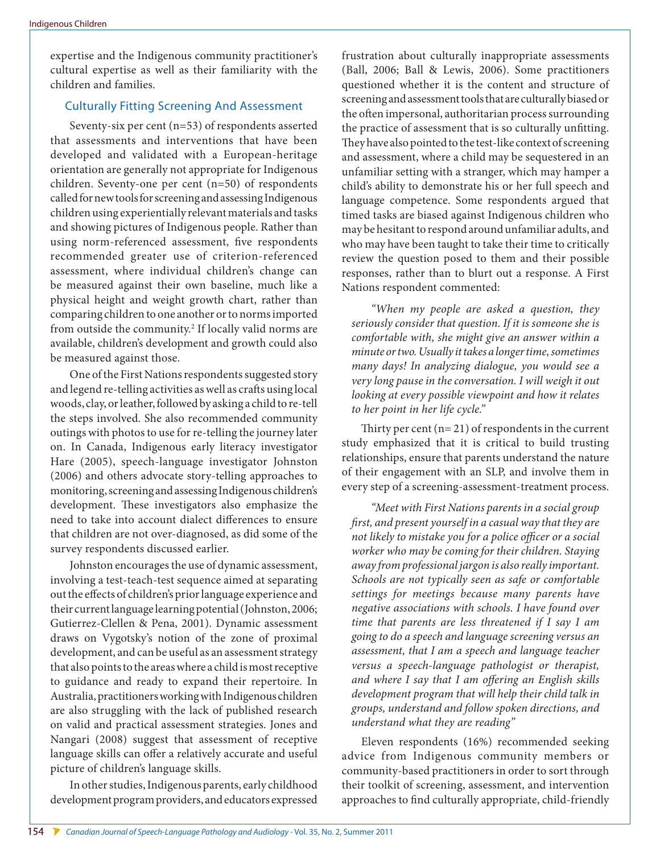expertise and the Indigenous community practitioner's cultural expertise as well as their familiarity with the children and families.

## Culturally Fitting Screening And Assessment

Seventy-six per cent (n=53) of respondents asserted that assessments and interventions that have been developed and validated with a European-heritage orientation are generally not appropriate for Indigenous children. Seventy-one per cent (n=50) of respondents called for new tools for screening and assessing Indigenous children using experientially relevant materials and tasks and showing pictures of Indigenous people. Rather than using norm-referenced assessment, five respondents recommended greater use of criterion-referenced assessment, where individual children's change can be measured against their own baseline, much like a physical height and weight growth chart, rather than comparing children to one another or to norms imported from outside the community.<sup>2</sup> If locally valid norms are available, children's development and growth could also be measured against those.

One of the First Nations respondents suggested story and legend re-telling activities as well as crafts using local woods, clay, or leather, followed by asking a child to re-tell the steps involved. She also recommended community outings with photos to use for re-telling the journey later on. In Canada, Indigenous early literacy investigator Hare (2005), speech-language investigator Johnston (2006) and others advocate story-telling approaches to monitoring, screening and assessing Indigenous children's development. These investigators also emphasize the need to take into account dialect differences to ensure that children are not over-diagnosed, as did some of the survey respondents discussed earlier.

Johnston encourages the use of dynamic assessment, involving a test-teach-test sequence aimed at separating out the effects of children's prior language experience and their current language learning potential (Johnston, 2006; Gutierrez-Clellen & Pena, 2001). Dynamic assessment draws on Vygotsky's notion of the zone of proximal development, and can be useful as an assessment strategy that also points to the areas where a child is most receptive to guidance and ready to expand their repertoire. In Australia, practitioners working with Indigenous children are also struggling with the lack of published research on valid and practical assessment strategies. Jones and Nangari (2008) suggest that assessment of receptive language skills can offer a relatively accurate and useful picture of children's language skills.

In other studies, Indigenous parents, early childhood development program providers, and educators expressed

frustration about culturally inappropriate assessments (Ball, 2006; Ball & Lewis, 2006). Some practitioners questioned whether it is the content and structure of screening and assessment tools that are culturally biased or the often impersonal, authoritarian process surrounding the practice of assessment that is so culturally unfitting. They have also pointed to the test-like context of screening and assessment, where a child may be sequestered in an unfamiliar setting with a stranger, which may hamper a child's ability to demonstrate his or her full speech and language competence. Some respondents argued that timed tasks are biased against Indigenous children who may be hesitant to respond around unfamiliar adults, and who may have been taught to take their time to critically review the question posed to them and their possible responses, rather than to blurt out a response. A First Nations respondent commented:

*"When my people are asked a question, they seriously consider that question. If it is someone she is comfortable with, she might give an answer within a minute or two. Usually it takes a longer time, sometimes many days! In analyzing dialogue, you would see a very long pause in the conversation. I will weigh it out looking at every possible viewpoint and how it relates to her point in her life cycle."*

Thirty per cent  $(n=21)$  of respondents in the current study emphasized that it is critical to build trusting relationships, ensure that parents understand the nature of their engagement with an SLP, and involve them in every step of a screening-assessment-treatment process.

*"Meet with First Nations parents in a social group first, and present yourself in a casual way that they are not likely to mistake you for a police officer or a social worker who may be coming for their children. Staying away from professional jargon is also really important. Schools are not typically seen as safe or comfortable settings for meetings because many parents have negative associations with schools. I have found over time that parents are less threatened if I say I am going to do a speech and language screening versus an assessment, that I am a speech and language teacher versus a speech-language pathologist or therapist, and where I say that I am offering an English skills development program that will help their child talk in groups, understand and follow spoken directions, and understand what they are reading"*

Eleven respondents (16%) recommended seeking advice from Indigenous community members or community-based practitioners in order to sort through their toolkit of screening, assessment, and intervention approaches to find culturally appropriate, child-friendly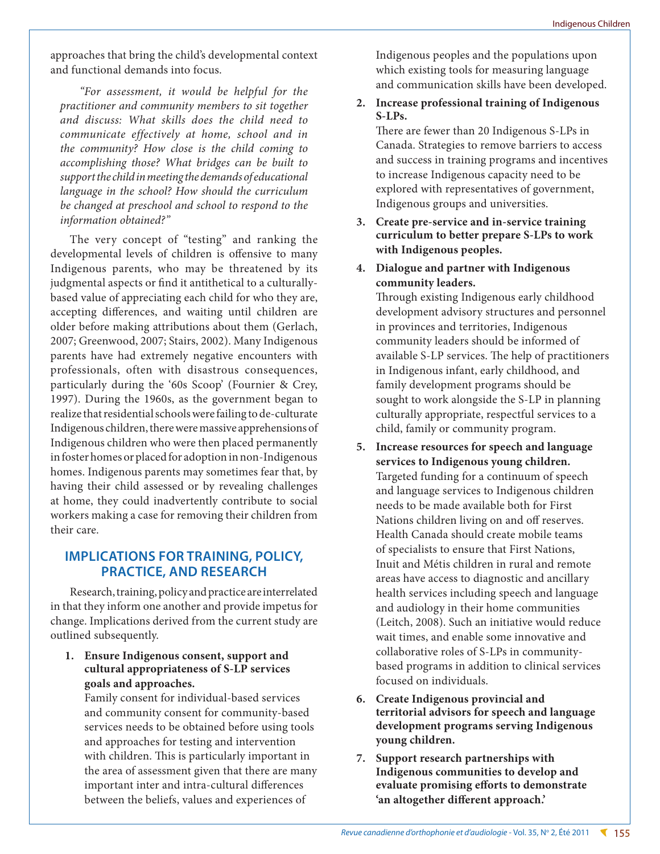approaches that bring the child's developmental context and functional demands into focus.

*"For assessment, it would be helpful for the practitioner and community members to sit together and discuss: What skills does the child need to communicate effectively at home, school and in the community? How close is the child coming to accomplishing those? What bridges can be built to support the child in meeting the demands of educational language in the school? How should the curriculum be changed at preschool and school to respond to the information obtained?"*

The very concept of "testing" and ranking the developmental levels of children is offensive to many Indigenous parents, who may be threatened by its judgmental aspects or find it antithetical to a culturallybased value of appreciating each child for who they are, accepting differences, and waiting until children are older before making attributions about them (Gerlach, 2007; Greenwood, 2007; Stairs, 2002). Many Indigenous parents have had extremely negative encounters with professionals, often with disastrous consequences, particularly during the '60s Scoop' (Fournier & Crey, 1997). During the 1960s, as the government began to realize that residential schools were failing to de-culturate Indigenous children, there were massive apprehensions of Indigenous children who were then placed permanently in foster homes or placed for adoption in non-Indigenous homes. Indigenous parents may sometimes fear that, by having their child assessed or by revealing challenges at home, they could inadvertently contribute to social workers making a case for removing their children from their care.

# **IMPLICATIONS FOR TRAINING, POLICY, PRACTICE, AND RESEARCH**

Research, training, policy and practice are interrelated in that they inform one another and provide impetus for change. Implications derived from the current study are outlined subsequently.

**1. Ensure Indigenous consent, support and cultural appropriateness of S-LP services goals and approaches.**

Family consent for individual-based services and community consent for community-based services needs to be obtained before using tools and approaches for testing and intervention with children. This is particularly important in the area of assessment given that there are many important inter and intra-cultural differences between the beliefs, values and experiences of

Indigenous peoples and the populations upon which existing tools for measuring language and communication skills have been developed.

**2. Increase professional training of Indigenous S-LPs.** 

There are fewer than 20 Indigenous S-LPs in Canada. Strategies to remove barriers to access and success in training programs and incentives to increase Indigenous capacity need to be explored with representatives of government, Indigenous groups and universities.

- **3. Create pre-service and in-service training curriculum to better prepare S-LPs to work with Indigenous peoples.**
- **4. Dialogue and partner with Indigenous community leaders.**

Through existing Indigenous early childhood development advisory structures and personnel in provinces and territories, Indigenous community leaders should be informed of available S-LP services. The help of practitioners in Indigenous infant, early childhood, and family development programs should be sought to work alongside the S-LP in planning culturally appropriate, respectful services to a child, family or community program.

- **5. Increase resources for speech and language services to Indigenous young children.** Targeted funding for a continuum of speech and language services to Indigenous children needs to be made available both for First Nations children living on and off reserves. Health Canada should create mobile teams of specialists to ensure that First Nations, Inuit and Métis children in rural and remote areas have access to diagnostic and ancillary health services including speech and language and audiology in their home communities (Leitch, 2008). Such an initiative would reduce wait times, and enable some innovative and collaborative roles of S-LPs in communitybased programs in addition to clinical services focused on individuals.
- **6. Create Indigenous provincial and territorial advisors for speech and language development programs serving Indigenous young children.**
- **7. Support research partnerships with Indigenous communities to develop and evaluate promising efforts to demonstrate 'an altogether different approach.'**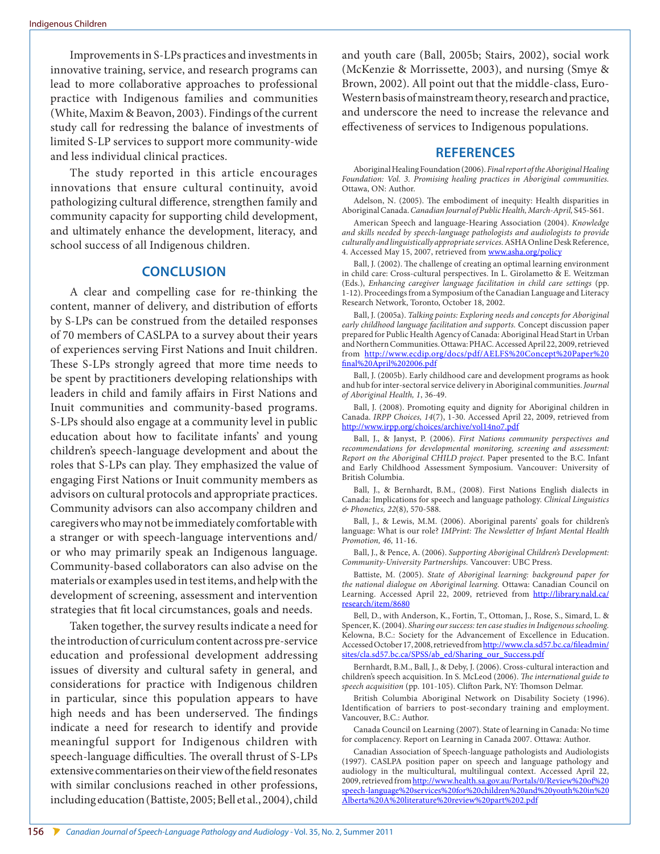Improvements in S-LPs practices and investments in innovative training, service, and research programs can lead to more collaborative approaches to professional practice with Indigenous families and communities (White, Maxim & Beavon, 2003). Findings of the current study call for redressing the balance of investments of limited S-LP services to support more community-wide and less individual clinical practices.

The study reported in this article encourages innovations that ensure cultural continuity, avoid pathologizing cultural difference, strengthen family and community capacity for supporting child development, and ultimately enhance the development, literacy, and school success of all Indigenous children.

## **CONCLUSION**

A clear and compelling case for re-thinking the content, manner of delivery, and distribution of efforts by S-LPs can be construed from the detailed responses of 70 members of CASLPA to a survey about their years of experiences serving First Nations and Inuit children. These S-LPs strongly agreed that more time needs to be spent by practitioners developing relationships with leaders in child and family affairs in First Nations and Inuit communities and community-based programs. S-LPs should also engage at a community level in public education about how to facilitate infants' and young children's speech-language development and about the roles that S-LPs can play. They emphasized the value of engaging First Nations or Inuit community members as advisors on cultural protocols and appropriate practices. Community advisors can also accompany children and caregivers who may not be immediately comfortable with a stranger or with speech-language interventions and/ or who may primarily speak an Indigenous language. Community-based collaborators can also advise on the materials or examples used in test items, and help with the development of screening, assessment and intervention strategies that fit local circumstances, goals and needs.

Taken together, the survey results indicate a need for the introduction of curriculum content across pre-service education and professional development addressing issues of diversity and cultural safety in general, and considerations for practice with Indigenous children in particular, since this population appears to have high needs and has been underserved. The findings indicate a need for research to identify and provide meaningful support for Indigenous children with speech-language difficulties. The overall thrust of S-LPs extensive commentaries on their view of the field resonates with similar conclusions reached in other professions, including education (Battiste, 2005; Bell et al., 2004), child

and youth care (Ball, 2005b; Stairs, 2002), social work (McKenzie & Morrissette, 2003), and nursing (Smye & Brown, 2002). All point out that the middle-class, Euro-Western basis of mainstream theory, research and practice, and underscore the need to increase the relevance and effectiveness of services to Indigenous populations.

## **REFERENCES**

Aboriginal Healing Foundation (2006). *Final report of the Aboriginal Healing Foundation: Vol. 3. Promising healing practices in Aboriginal communities.* Ottawa, ON: Author.

Adelson, N. (2005). The embodiment of inequity: Health disparities in Aboriginal Canada. *Canadian Journal of Public Health, March-April,* S45-S61.

American Speech and language-Hearing Association (2004). *Knowledge and skills needed by speech-language pathologists and audiologists to provide culturally and linguistically appropriate services.* ASHA Online Desk Reference, 4. Accessed May 15, 2007, retrieved from<www.asha.org/policy>

Ball, J. (2002). The challenge of creating an optimal learning environment in child care: Cross-cultural perspectives. In L. Girolametto & E. Weitzman (Eds.), *Enhancing caregiver language facilitation in child care settings* (pp. 1-12). Proceedings from a Symposium of the Canadian Language and Literacy Research Network, Toronto, October 18, 2002.

Ball, J. (2005a). *Talking points: Exploring needs and concepts for Aboriginal early childhood language facilitation and supports.* Concept discussion paper prepared for Public Health Agency of Canada: Aboriginal Head Start in Urban and Northern Communities. Ottawa: PHAC. Accessed April 22, 2009, retrieved from <http://www.ecdip.org/docs/pdf/AELFS>%20Concept%20Paper%20 final%20April%<202006.pdf>

Ball, J. (2005b). Early childhood care and development programs as hook and hub for inter-sectoral service delivery in Aboriginal communities. *Journal of Aboriginal Health, 1*, 36-49.

Ball, J. (2008). Promoting equity and dignity for Aboriginal children in Canada. *IRPP Choices, 14*(7), 1-30. Accessed April 22, 2009, retrieved from <http://www.irpp.org/choices/archive/vol14no7.pdf>

Ball, J., & Janyst, P. (2006). *First Nations community perspectives and recommendations for developmental monitoring, screening and assessment: Report on the Aboriginal CHILD project.* Paper presented to the B.C. Infant and Early Childhood Assessment Symposium. Vancouver: University of British Columbia.

Ball, J., & Bernhardt, B.M., (2008). First Nations English dialects in Canada: Implications for speech and language pathology. *Clinical Linguistics & Phonetics, 22*(8), 570-588.

Ball, J., & Lewis, M.M. (2006). Aboriginal parents' goals for children's language: What is our role? *IMPrint: The Newsletter of Infant Mental Health Promotion, 46,* 11-16.

Ball, J., & Pence, A. (2006). *Supporting Aboriginal Children's Development: Community-University Partnerships.* Vancouver: UBC Press.

Battiste, M. (2005). *State of Aboriginal learning: background paper for the national dialogue on Aboriginal learning.* Ottawa: Canadian Council on Learning. Accessed April 22, 2009, retrieved from [http://library.nald.ca/](http://library.nald.ca/research/item/8680) [research/item/8680](http://library.nald.ca/research/item/8680)

Bell, D., with Anderson, K., Fortin, T., Ottoman, J., Rose, S., Simard, L. & Spencer, K. (2004). *Sharing our success: ten case studies in Indigenous schooling.*  Kelowna, B.C.: Society for the Advancement of Excellence in Education. Accessed October 17, 2008, retrieved from [http://www.cla.sd57.bc.ca/fileadmin/](http://www.cla.sd57.bc.ca/fileadmin/sites/cla.sd57.bc.ca/SPSS/ab_ed/Sharing_our_Success.pdf) [sites/cla.sd57.bc.ca/SPSS/ab\\_ed/Sharing\\_our\\_Success.pdf](http://www.cla.sd57.bc.ca/fileadmin/sites/cla.sd57.bc.ca/SPSS/ab_ed/Sharing_our_Success.pdf)

Bernhardt, B.M., Ball, J., & Deby, J. (2006). Cross-cultural interaction and children's speech acquisition. In S. McLeod (2006). *The international guide to speech acquisition* (pp. 101-105). Clifton Park, NY: Thomson Delmar.

British Columbia Aboriginal Network on Disability Society (1996). Identification of barriers to post-secondary training and employment. Vancouver, B.C.: Author.

Canada Council on Learning (2007). State of learning in Canada: No time for complacency. Report on Learning in Canada 2007. Ottawa: Author.

Canadian Association of Speech-language pathologists and Audiologists (1997). CASLPA position paper on speech and language pathology and audiology in the multicultural, multilingual context. Accessed April 22, 2009, retrieved from [http://www.health.sa.gov.au/Portals/0/Review%](http://www.health.sa.gov.au/Portals/0/Review)20of%20 speech-language%20services%20for%20children%20and%20youth%20in%20 Alberta%20A%20literature%20review%20part%<202.pdf>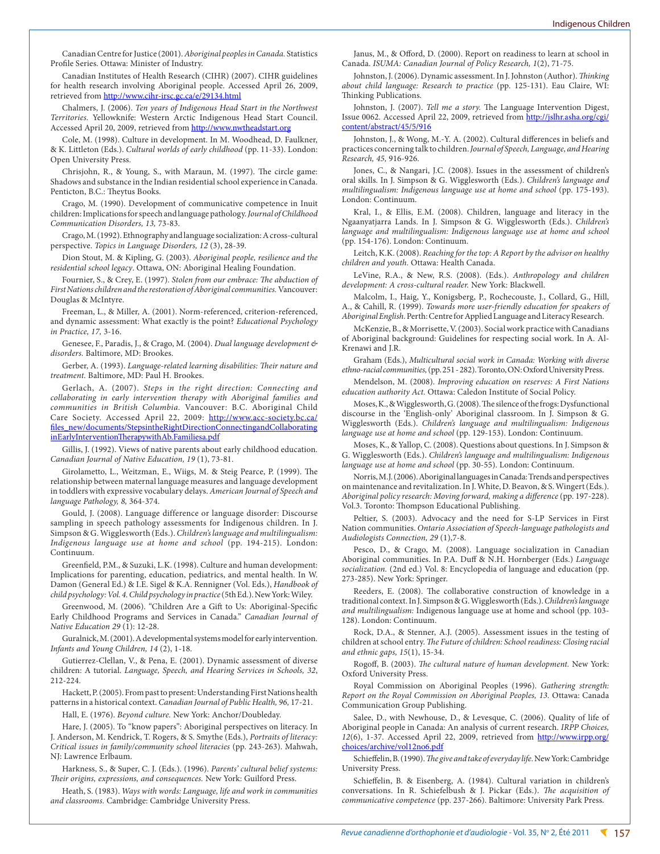Canadian Centre for Justice (2001). *Aboriginal peoples in Canada.* Statistics Profile Series. Ottawa: Minister of Industry.

Canadian Institutes of Health Research (CIHR) (2007). CIHR guidelines for health research involving Aboriginal people. Accessed April 26, 2009, retrieved from<http://www.cihr-irsc.gc.ca/e/29134.html>

Chalmers, J. (2006). *Ten years of Indigenous Head Start in the Northwest Territories.* Yellowknife: Western Arctic Indigenous Head Start Council. Accessed April 20, 2009, retrieved from <http://www.nwtheadstart.org>

Cole, M. (1998). Culture in development. In M. Woodhead, D. Faulkner, & K. Littleton (Eds.). *Cultural worlds of early childhood* (pp. 11-33). London: Open University Press.

Chrisjohn, R., & Young, S., with Maraun, M. (1997). The circle game: Shadows and substance in the Indian residential school experience in Canada. Penticton, B.C.: Theytus Books.

Crago, M. (1990). Development of communicative competence in Inuit children: Implications for speech and language pathology. *Journal of Childhood Communication Disorders, 13,* 73-83.

Crago, M. (1992). Ethnography and language socialization: A cross-cultural perspective. *Topics in Language Disorders, 12* (3), 28-39.

Dion Stout, M. & Kipling, G. (2003). *Aboriginal people, resilience and the residential school legacy*. Ottawa, ON: Aboriginal Healing Foundation.

Fournier, S., & Crey, E. (1997). *Stolen from our embrace: The abduction of First Nations children and the restoration of Aboriginal communities.* Vancouver: Douglas & McIntyre.

Freeman, L., & Miller, A. (2001). Norm-referenced, criterion-referenced, and dynamic assessment: What exactly is the point? *Educational Psychology in Practice, 17,* 3-16.

Genesee, F., Paradis, J., & Crago, M. (2004). *Dual language development & disorders.* Baltimore, MD: Brookes.

Gerber, A. (1993). *Language-related learning disabilities: Their nature and treatment.* Baltimore, MD: Paul H. Brookes.

Gerlach, A. (2007). *Steps in the right direction: Connecting and collaborating in early intervention therapy with Aboriginal families and communities in British Columbia.* Vancouver: B.C. Aboriginal Child Care Society. Accessed April 22, 2009: [http://www.acc-society.bc.ca/](http://www.acc-society.bc.ca/files_new/documents/StepsintheRightDirectionConnectingandCollaborating) [files\\_new/documents/StepsintheRightDirectionConnectingandCollaborating](http://www.acc-society.bc.ca/files_new/documents/StepsintheRightDirectionConnectingandCollaborating) <inEarlyInterventionTherapywithAb.Familiesa.pdf>

Gillis, J. (1992). Views of native parents about early childhood education. *Canadian Journal of Native Education, 19* (1), 73-81.

Girolametto, L., Weitzman, E., Wiigs, M. & Steig Pearce, P. (1999). The relationship between maternal language measures and language development in toddlers with expressive vocabulary delays. *American Journal of Speech and language Pathology, 8,* 364-374.

Gould, J. (2008). Language difference or language disorder: Discourse sampling in speech pathology assessments for Indigenous children. In J. Simpson & G. Wigglesworth (Eds.). *Children's language and multilingualism: Indigenous language use at home and school* (pp. 194-215). London: Continuum.

Greenfield, P.M., & Suzuki, L.K. (1998). Culture and human development: Implications for parenting, education, pediatrics, and mental health. In W. Damon (General Ed.) & I.E. Sigel & K.A. Rennigner (Vol. Eds.), *Handbook of child psychology: Vol. 4. Child psychology in practice* (5th Ed.). New York: Wiley.

Greenwood, M. (2006). "Children Are a Gift to Us: Aboriginal-Specific Early Childhood Programs and Services in Canada." *Canadian Journal of Native Education 29* (1): 12-28.

Guralnick, M. (2001). A developmental systems model for early intervention. *Infants and Young Children, 14* (2), 1-18.

Gutierrez-Clellan, V., & Pena, E. (2001). Dynamic assessment of diverse children: A tutorial. *Language, Speech, and Hearing Services in Schools, 32*, 212-224.

Hackett, P. (2005). From past to present: Understanding First Nations health patterns in a historical context. *Canadian Journal of Public Health, 96,* 17-21.

Hall, E. (1976). *Beyond culture.* New York: Anchor/Doubleday.

Hare, J. (2005). To "know papers": Aboriginal perspectives on literacy. In J. Anderson, M. Kendrick, T. Rogers, & S. Smythe (Eds.), *Portraits of literacy: Critical issues in family/community school literacies* (pp. 243-263). Mahwah, NJ: Lawrence Erlbaum.

Harkness, S., & Super, C. J. (Eds.). (1996). *Parents' cultural belief systems: Their origins, expressions, and consequences.* New York: Guilford Press.

Heath, S. (1983). *Ways with words: Language, life and work in communities and classrooms.* Cambridge: Cambridge University Press.

Janus, M., & Offord, D. (2000). Report on readiness to learn at school in Canada. *ISUMA: Canadian Journal of Policy Research, 1*(2), 71-75.

Johnston, J. (2006). Dynamic assessment. In J. Johnston (Author). *Thinking about child language: Research to practice* (pp. 125-131). Eau Claire, WI: Thinking Publications.

Johnston, J. (2007). *Tell me a story.* The Language Intervention Digest, Issue 0062. Accessed April 22, 2009, retrieved from [http://jslhr.asha.org/cgi/](http://jslhr.asha.org/cgi/content/abstract/45/5/916) [content/abstract/45/5/916](http://jslhr.asha.org/cgi/content/abstract/45/5/916)

Johnston, J., & Wong, M.-Y. A. (2002). Cultural differences in beliefs and practices concerning talk to children. *Journal of Speech, Language, and Hearing Research, 45,* 916-926.

Jones, C., & Nangari, J.C. (2008). Issues in the assessment of children's oral skills. In J. Simpson & G. Wigglesworth (Eds.). *Children's language and multilingualism: Indigenous language use at home and school* (pp. 175-193). London: Continuum.

Kral, I., & Ellis, E.M. (2008). Children, language and literacy in the Ngaanyatjarra Lands. In J. Simpson & G. Wigglesworth (Eds.). *Children's language and multilingualism: Indigenous language use at home and school*  (pp. 154-176). London: Continuum.

Leitch, K.K. (2008). *Reaching for the top: A Report by the advisor on healthy children and youth.* Ottawa: Health Canada.

LeVine, R.A., & New, R.S. (2008). (Eds.). *Anthropology and children development: A cross-cultural reader.* New York: Blackwell.

Malcolm, I., Haig, Y., Konigsberg, P., Rochecouste, J., Collard, G., Hill, A., & Cahill, R. (1999). *Towards more user-friendly education for speakers of Aboriginal English.* Perth: Centre for Applied Language and Literacy Research.

McKenzie, B., & Morrisette, V. (2003). Social work practice with Canadians of Aboriginal background: Guidelines for respecting social work. In A. Al-Krenawi and J.R.

Graham (Eds.), *Multicultural social work in Canada: Working with diverse ethno-racial communities,* (pp. 251 - 282). Toronto, ON: Oxford University Press.

Mendelson, M. (2008). *Improving education on reserves: A First Nations education authority Act.* Ottawa: Caledon Institute of Social Policy.

Moses, K., & Wigglesworth, G. (2008). The silence of the frogs: Dysfunctional discourse in the 'English-only' Aboriginal classroom. In J. Simpson & G. Wigglesworth (Eds.). *Children's language and multilingualism: Indigenous language use at home and school* (pp. 129-153). London: Continuum.

Moses, K., & Yallop, C. (2008). Questions about questions. In J. Simpson & G. Wigglesworth (Eds.). *Children's language and multilingualism: Indigenous language use at home and school* (pp. 30-55). London: Continuum.

Norris, M.J. (2006). Aboriginal languages in Canada: Trends and perspectives on maintenance and revitalization. In J. White, D. Beavon, & S. Wingert (Eds.). *Aboriginal policy research: Moving forward, making a difference* (pp. 197-228). Vol.3. Toronto: Thompson Educational Publishing.

Peltier, S. (2003). Advocacy and the need for S-LP Services in First Nation communities. *Ontario Association of Speech-language pathologists and Audiologists Connection, 29* (1),7-8.

Pesco, D., & Crago, M. (2008). Language socialization in Canadian Aboriginal communities. In P.A. Duff & N.H. Hornberger (Eds.) *Language socialization.* (2nd ed.) Vol. 8: Encyclopedia of language and education (pp. 273-285). New York: Springer.

Reeders, E. (2008). The collaborative construction of knowledge in a traditional context. In J. Simpson & G. Wigglesworth (Eds.). *Children's language and multilingualism:* Indigenous language use at home and school (pp. 103- 128). London: Continuum.

Rock, D.A., & Stenner, A.J. (2005). Assessment issues in the testing of children at school entry. *The Future of children: School readiness: Closing racial and ethnic gaps, 15*(1), 15-34.

Rogoff, B. (2003). *The cultural nature of human development.* New York: Oxford University Press.

Royal Commission on Aboriginal Peoples (1996). *Gathering strength: Report on the Royal Commission on Aboriginal Peoples, 13.* Ottawa: Canada Communication Group Publishing.

Salee, D., with Newhouse, D., & Levesque, C. (2006). Quality of life of Aboriginal people in Canada: An analysis of current research. *IRPP Choices, 12*(6), 1-37. Accessed April 22, 2009, retrieved from [http://www.irpp.org/](http://www.irpp.org/choices/archive/vol12no6.pdf) [choices/archive/vol12no6.pdf](http://www.irpp.org/choices/archive/vol12no6.pdf)

Schieffelin, B. (1990). *The give and take of everyday life.* New York: Cambridge University Press.

Schieffelin, B. & Eisenberg, A. (1984). Cultural variation in children's conversations. In R. Schiefelbush & J. Pickar (Eds.). *The acquisition of communicative competence* (pp. 237-266). Baltimore: University Park Press.